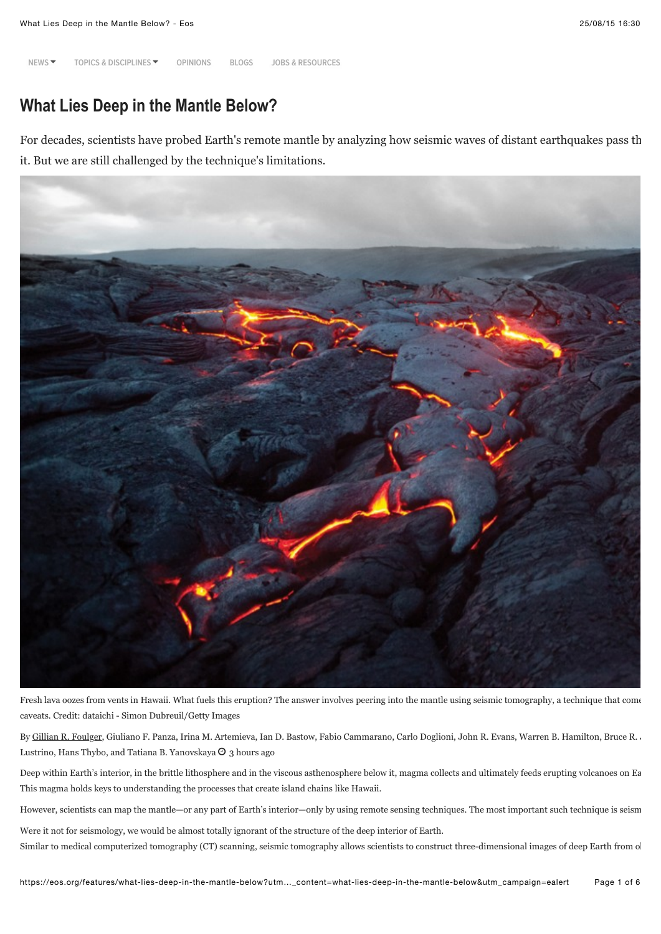**[NEWS](https://eos.org/news)** " **[TOPICS & DISCIPLINES](https://eos.org/features/what-lies-deep-in-the-mantle-below?utm_source=rss&utm_medium=rss&utm_content=what-lies-deep-in-the-mantle-below&utm_campaign=ealert#)** " **[OPINIONS](https://eos.org/opinions) [BLOGS](https://eos.org/blogs) [JOBS & RESOURCES](https://eos.org/jobs-support)**

# **What Lies Deep in the Mantle Below?**

For decades, scientists have probed Earth's remote mantle by analyzing how seismic waves of distant earthquakes pass th it. But we are still challenged by the technique's limitations.



Fresh lava oozes from vents in Hawaii. What fuels this eruption? The answer involves peering into the mantle using seismic tomography, a technique that come caveats. Credit: dataichi - Simon Dubreuil/Getty Images

By [Gillian R. Foulger,](mailto:g.r.foulger@durham.ac.uk) Giuliano F. Panza, Irina M. Artemieva, Ian D. Bastow, Fabio Cammarano, Carlo Doglioni, John R. Evans, Warren B. Hamilton, Bruce R. . Lustrino, Hans Thybo, and Tatiana B. Yanovskaya  $\Theta$  3 hours ago

Deep within Earth's interior, in the brittle lithosphere and in the viscous asthenosphere below it, magma collects and ultimately feeds erupting volcanoes on Ea This magma holds keys to understanding the processes that create island chains like Hawaii.

However, scientists can map the mantle—or any part of Earth's interior—only by using remote sensing techniques. The most important such technique is seism

Were it not for seismology, we would be almost totally ignorant of the structure of the deep interior of Earth. Similar to medical computerized tomography (CT) scanning, seismic tomography allows scientists to construct three-dimensional images of deep Earth from o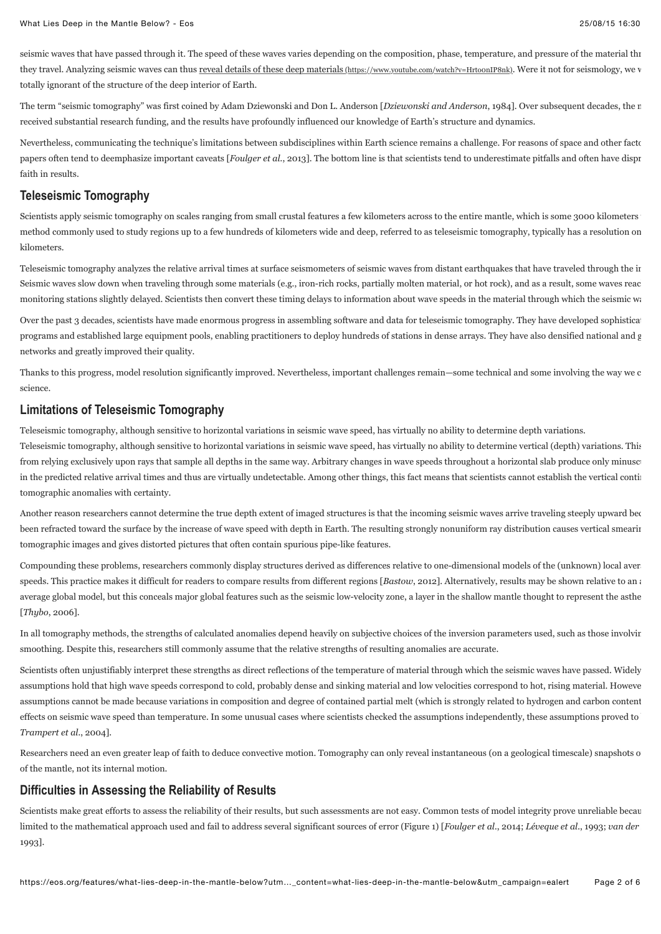seismic waves that have passed through it. The speed of these waves varies depending on the composition, phase, temperature, and pressure of the material thr they travel. Analyzing seismic waves can thus reveal details of these deep materials (https://www.youtube.com/watch?v=HrtoonIP8nk). Were it not for seismology, we v totally ignorant of the structure of the deep interior of Earth.

The term "seismic tomography" was first coined by Adam Dziewonski and Don L. Anderson [*Dziewonski and Anderson*, 1984]. Over subsequent decades, the r received substantial research funding, and the results have profoundly influenced our knowledge of Earth's structure and dynamics.

Nevertheless, communicating the technique's limitations between subdisciplines within Earth science remains a challenge. For reasons of space and other factors, published and other factors, published and other factors, pub papers often tend to deemphasize important caveats [*Foulger et al.*, 2013]. The bottom line is that scientists tend to underestimate pitfalls and often have dispr faith in results.

### **Teleseismic Tomography**

Scientists apply seismic tomography on scales ranging from small crustal features a few kilometers across to the entire mantle, which is some 3000 kilometers method commonly used to study regions up to a few hundreds of kilometers wide and deep, referred to as teleseismic tomography, typically has a resolution on kilometers.

Teleseismic tomography analyzes the relative arrival times at surface seismometers of seismic waves from distant earthquakes that have traveled through the in Seismic waves slow down when traveling through some materials (e.g., iron-rich rocks, partially molten material, or hot rock), and as a result, some waves reac monitoring stations slightly delayed. Scientists then convert these timing delays to information about wave speeds in the material through which the seismic waves passed.

Over the past 3 decades, scientists have made enormous progress in assembling software and data for teleseismic tomography. They have developed sophistica programs and established large equipment pools, enabling practitioners to deploy hundreds of stations in dense arrays. They have also densified national and g networks and greatly improved their quality.

Thanks to this progress, model resolution significantly improved. Nevertheless, important challenges remain—some technical and some involving the way we c science.

### **Limitations of Teleseismic Tomography**

Teleseismic tomography, although sensitive to horizontal variations in seismic wave speed, has virtually no ability to determine depth variations.

Teleseismic tomography, although sensitive to horizontal variations in seismic wave speed, has virtually no ability to determine vertical (depth) variations. This from relying exclusively upon rays that sample all depths in the same way. Arbitrary changes in wave speeds throughout a horizontal slab produce only minusc in the predicted relative arrival times and thus are virtually undetectable. Among other things, this fact means that scientists cannot establish the vertical continuity tomographic anomalies with certainty.

Another reason researchers cannot determine the true depth extent of imaged structures is that the incoming seismic waves arrive traveling steeply upward because they have the year of the year of the year of the year of th been refracted toward the surface by the increase of wave speed with depth in Earth. The resulting strongly nonuniform ray distribution causes vertical smearing tomographic images and gives distorted pictures that often contain spurious pipe-like features.

Compounding these problems, researchers commonly display structures derived as differences relative to one-dimensional models of the (unknown) local aver speeds. This practice makes it difficult for readers to compare results from different regions [*Bastow*, 2012]. Alternatively, results may be shown relative to an a average global model, but this conceals major global features such as the seismic low-velocity zone, a layer in the shallow mantle thought to represent the asthe [*Thybo*, 2006].

In all tomography methods, the strengths of calculated anomalies depend heavily on subjective choices of the inversion parameters used, such as those involving smoothing. Despite this, researchers still commonly assume that the relative strengths of resulting anomalies are accurate.

Scientists often unjustifiably interpret these strengths as direct reflections of the temperature of material through which the seismic waves have passed. Widely assumptions hold that high wave speeds correspond to cold, probably dense and sinking material and low velocities correspond to hot, rising material. Howeve assumptions cannot be made because variations in composition and degree of contained partial melt (which is strongly related to hydrogen and carbon content effects on seismic wave speed than temperature. In some unusual cases where scientists checked the assumptions independently, these assumptions proved to *Trampert et al.*, 2004].

Researchers need an even greater leap of faith to deduce convective motion. Tomography can only reveal instantaneous (on a geological timescale) snapshots of the structure structure of the structure structure motion. Tomog of the mantle, not its internal motion.

# **Difficulties in Assessing the Reliability of Results**

Scientists make great efforts to assess the reliability of their results, but such assessments are not easy. Common tests of model integrity prove unreliable because they are not easy. Common tests of model integrity prove limited to the mathematical approach used and fail to address several significant sources of error (Figure 1) [Foulger et al., 2014; Léveque et al., 1993; *van der* 1993].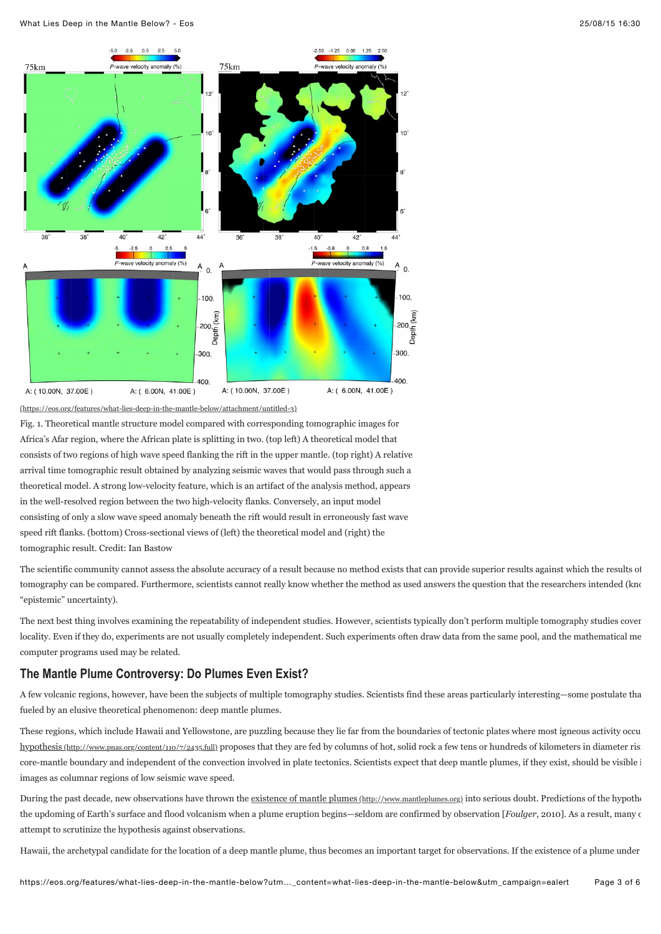

[\(https://eos.org/features/what-lies-deep-in-the-mantle-below/attachment/untitled-3\)](https://eos.org/features/what-lies-deep-in-the-mantle-below/attachment/untitled-3)

Fig. 1. Theoretical mantle structure model compared with corresponding tomographic images for Africa's Afar region, where the African plate is splitting in two. (top left) A theoretical model that consists of two regions of high wave speed flanking the rift in the upper mantle. (top right) A relative arrival time tomographic result obtained by analyzing seismic waves that would pass through such a theoretical model. A strong low-velocity feature, which is an artifact of the analysis method, appears in the well-resolved region between the two high-velocity flanks. Conversely, an input model consisting of only a slow wave speed anomaly beneath the rift would result in erroneously fast wave speed rift flanks. (bottom) Cross-sectional views of (left) the theoretical model and (right) the tomographic result. Credit: Ian Bastow

The scientific community cannot assess the absolute accuracy of a result because no method exists that can provide superior results against which the results of tomography can be compared. Furthermore, scientists cannot really know whether the method as used answers the question that the researchers intended (known as used answers the question that the researchers intended (known "epistemic" uncertainty).

The next best thing involves examining the repeatability of independent studies. However, scientists typically don't perform multiple tomography studies cover locality. Even if they do, experiments are not usually completely independent. Such experiments often draw data from the same pool, and the mathematical me computer programs used may be related.

## **The Mantle Plume Controversy: Do Plumes Even Exist?**

A few volcanic regions, however, have been the subjects of multiple tomography studies. Scientists find these areas particularly interesting—some postulate tha fueled by an elusive theoretical phenomenon: deep mantle plumes.

[These regions, which include Hawaii and Yellowstone, are puzzling because they lie far from the boundaries of tectonic plates where most igneous activity occu](http://www.pnas.org/content/110/7/2435.full) hypothesis (http://www.pnas.org/content/110/7/2435.full) proposes that they are fed by columns of hot, solid rock a few tens or hundreds of kilometers in diameter ris core-mantle boundary and independent of the convection involved in plate tectonics. Scientists expect that deep mantle plumes, if they exist, should be visible in images as columnar regions of low seismic wave speed.

During the past decade, new observations have thrown the <u>existence of mantle plumes (http://www.mantleplumes.org</u>) into serious doubt. Predictions of the hypothe the updoming of Earth's surface and flood volcanism when a plume eruption begins—seldom are confirmed by observation [*Foulger*, 2010]. As a result, many on attempt to scrutinize the hypothesis against observations.

Hawaii, the archetypal candidate for the location of a deep mantle plume, thus becomes an important target for observations. If the existence of a plume under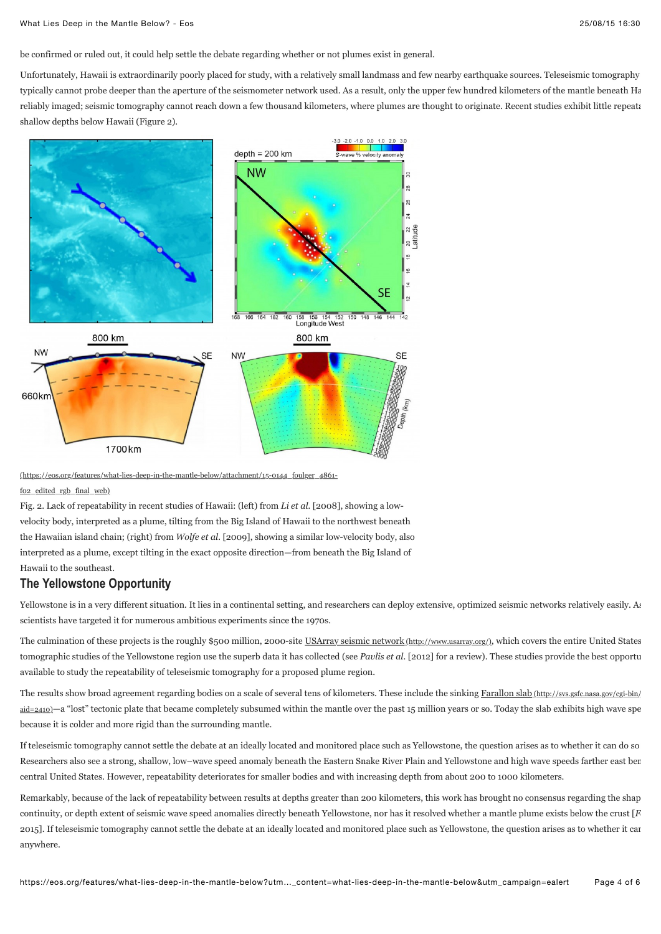be confirmed or ruled out, it could help settle the debate regarding whether or not plumes exist in general.

Unfortunately, Hawaii is extraordinarily poorly placed for study, with a relatively small landmass and few nearby earthquake sources. Teleseismic tomography typically cannot probe deeper than the aperture of the seismometer network used. As a result, only the upper few hundred kilometers of the mantle beneath Hawaii can be need to the mantle beneath Hawaii can be need to the m reliably imaged; seismic tomography cannot reach down a few thousand kilometers, where plumes are thought to originate. Recent studies exhibit little repeatation of the repeatation of the repeat of the repeat of the repeat shallow depths below Hawaii (Figure 2).



[\(https://eos.org/features/what-lies-deep-in-the-mantle-below/attachment/15-0144\\_foulger\\_4861-](https://eos.org/features/what-lies-deep-in-the-mantle-below/attachment/15-0144_foulger_4861-f02_edited_rgb_final_web)

f02\_edited\_rgb\_final\_web)

Fig. 2. Lack of repeatability in recent studies of Hawaii: (left) from *Li et al.* [2008], showing a lowvelocity body, interpreted as a plume, tilting from the Big Island of Hawaii to the northwest beneath the Hawaiian island chain; (right) from *Wolfe et al.* [2009], showing a similar low-velocity body, also interpreted as a plume, except tilting in the exact opposite direction—from beneath the Big Island of Hawaii to the southeast.

## **The Yellowstone Opportunity**

Yellowstone is in a very different situation. It lies in a continental setting, and researchers can deploy extensive, optimized seismic networks relatively easily. As scientists have targeted it for numerous ambitious experiments since the 1970s.

The culmination of these projects is the roughly \$500 million, 2000-site [USArray seismic network \(http://www.usarray.org/\),](http://www.usarray.org/) which covers the entire United States. tomographic studies of the Yellowstone region use the superb data it has collected (see *Pavlis et al.* [2012] for a review). These studies provide the best opportu available to study the repeatability of teleseismic tomography for a proposed plume region.

[The results show broad agreement regarding bodies on a scale of several tens of kilometers. These include the sinking Farallon slab \(http://svs.gsfc.nasa.gov/cgi-bin/](http://svs.gsfc.nasa.gov/cgi-bin/details.cgi?aid=2410) aid=2410)—a "lost" tectonic plate that became completely subsumed within the mantle over the past 15 million years or so. Today the slab exhibits high wave spe because it is colder and more rigid than the surrounding mantle.

If teleseismic tomography cannot settle the debate at an ideally located and monitored place such as Yellowstone, the question arises as to whether it can do so Researchers also see a strong, shallow, low–wave speed anomaly beneath the Eastern Snake River Plain and Yellowstone and high wave speeds farther east bene central United States. However, repeatability deteriorates for smaller bodies and with increasing depth from about 200 to 1000 kilometers.

Remarkably, because of the lack of repeatability between results at depths greater than 200 kilometers, this work has brought no consensus regarding the shap continuity, or depth extent of seismic wave speed anomalies directly beneath Yellowstone, nor has it resolved whether a mantle plume exists below the crust  $[F]$ 2015]. If teleseismic tomography cannot settle the debate at an ideally located and monitored place such as Yellowstone, the question arises as to whether it can anywhere.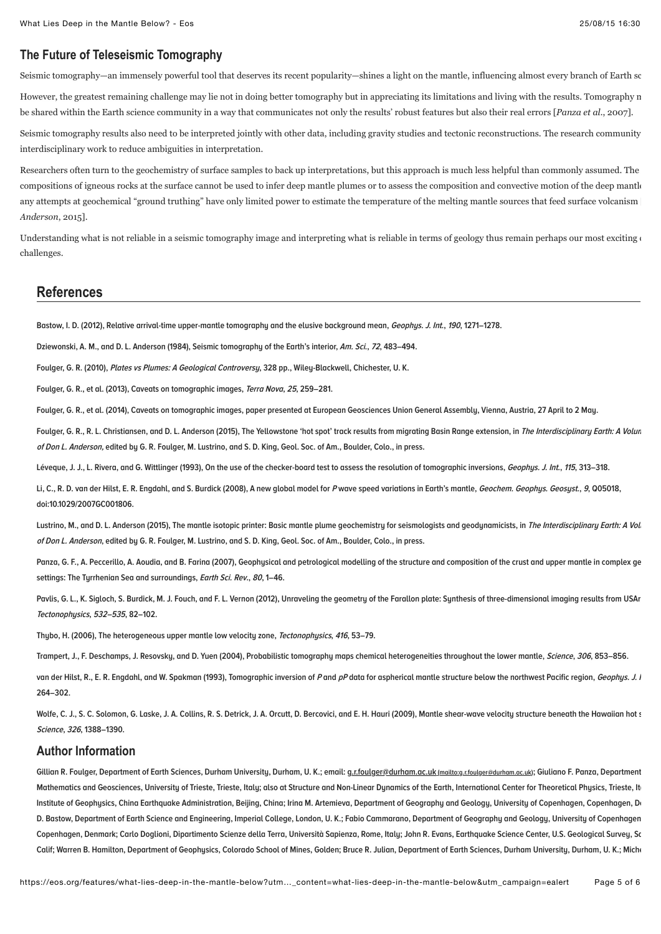# **The Future of Teleseismic Tomography**

Seismic tomography—an immensely powerful tool that deserves its recent popularity—shines a light on the mantle, influencing almost every branch of Earth sc

However, the greatest remaining challenge may lie not in doing better tomography but in appreciating its limitations and living with the results. Tomography n be shared within the Earth science community in a way that communicates not only the results' robust features but also their real errors [*Panza et al.*, 2007].

Seismic tomography results also need to be interpreted jointly with other data, including gravity studies and tectonic reconstructions. The research community interdisciplinary work to reduce ambiguities in interpretation.

Researchers often turn to the geochemistry of surface samples to back up interpretations, but this approach is much less helpful than commonly assumed. The compositions of igneous rocks at the surface cannot be used to infer deep mantle plumes or to assess the composition and convective motion of the deep mantle any attempts at geochemical "ground truthing" have only limited power to estimate the temperature of the melting mantle sources that feed surface volcanism *Anderson*, 2015].

Understanding what is not reliable in a seismic tomography image and interpreting what is reliable in terms of geology thus remain perhaps our most exciting  $\epsilon$ challenges.

## **References**

**Bastow, I. D. (2012), Relative arrival-time upper-mantle tomography and the elusive background mean, Geophys. J. Int., 190, 1271–1278.**

**Dziewonski, A. M., and D. L. Anderson (1984), Seismic tomography of the Earth's interior, Am. Sci., 72, 483–494.**

**Foulger, G. R. (2010), Plates vs Plumes: A Geological Controversy, 328 pp., Wiley-Blackwell, Chichester, U. K.**

**Foulger, G. R., et al. (2013), Caveats on tomographic images, Terra Nova, 25, 259–281.**

**Foulger, G. R., et al. (2014), Caveats on tomographic images, paper presented at European Geosciences Union General Assembly, Vienna, Austria, 27 April to 2 May.**

Foulger, G. R., R. L. Christiansen, and D. L. Anderson (2015), The Yellowstone 'hot spot' track results from migrating Basin Range extension, in The Interdisciplinary Earth: A Volum **of Don L. Anderson, edited by G. R. Foulger, M. Lustrino, and S. D. King, Geol. Soc. of Am., Boulder, Colo., in press.**

**Léveque, J. J., L. Rivera, and G. Wittlinger (1993), On the use of the checker-board test to assess the resolution of tomographic inversions, Geophys. J. Int., 115, 313–318.**

**Li, C., R. D. van der Hilst, E. R. Engdahl, and S. Burdick (2008), A new global model for P wave speed variations in Earth's mantle, Geochem. Geophys. Geosyst., 9, Q05018, doi:10.1029/2007GC001806.**

Lustrino, M., and D. L. Anderson (2015), The mantle isotopic printer: Basic mantle plume geochemistry for seismologists and geodynamicists, in *The Interdisciplinary Earth: A Vol* **of Don L. Anderson, edited by G. R. Foulger, M. Lustrino, and S. D. King, Geol. Soc. of Am., Boulder, Colo., in press.**

Panza, G. F., A. Peccerillo, A. Aoudia, and B. Farina (2007), Geophysical and petrological modelling of the structure and composition of the crust and upper mantle in complex ge **settings: The Tyrrhenian Sea and surroundings, Earth Sci. Rev., 80, 1–46.**

Paylis, G. L., K. Sigloch, S. Burdick, M. J. Fouch, and F. L. Vernon (2012), Unraveling the geometry of the Farallon plate: Sunthesis of three-dimensional imaging results from USAr **Tectonophysics, 532–535, 82–102.**

**Thybo, H. (2006), The heterogeneous upper mantle low velocity zone, Tectonophysics, 416, 53–79.**

**Trampert, J., F. Deschamps, J. Resovsky, and D. Yuen (2004), Probabilistic tomography maps chemical heterogeneities throughout the lower mantle, Science, 306, 853–856.**

van der Hilst, R., E. R. Engdahl, and W. Spakman (1993), Tomographic inversion of Pand pP data for aspherical mantle structure below the northwest Pacific region, Geophys. J. I **264–302.**

Wolfe, C. J., S. C. Solomon, G. Laske, J. A. Collins, R. S. Detrick, J. A. Orcutt, D. Bercovici, and E. H. Hauri (2009), Mantle shear-wave velocity structure beneath the Hawaiian hot s **Science, 326, 1388–1390.**

### **Author Information**

Gillian R. Foulger, Department of Earth Sciences, Durham University, Durham, U. K.; email: q.r.foulger@durham.ac.uk (mailto:q.r.foulger@durham.ac.uk); Giuliano F. Panza, Department Mathematics and Geosciences, University of Trieste, Trieste, Italy; also at Structure and Non-Linear Dynamics of the Earth, International Center for Theoretical Physics, Trieste, It Institute of Geophysics, China Earthquake Administration, Beijing, China; Irina M. Artemieva, Department of Geography and Geology, University of Copenhagen, Copenhagen, De **D. Bastow, Department of Earth Science and Engineering, Imperial College, London, U. K.; Fabio Cammarano, Department of Geography and Geology, University of Copenhagen,** Copenhagen, Denmark; Carlo Doglioni, Dipartimento Scienze della Terra, Università Sapienza, Rome, Italu; John R. Evans, Earthquake Science Center, U.S. Geological Survey, Sonta Cruz, Santa Cruz, Santa Cruz, Santa Cruz, San Calif; Warren B. Hamilton, Department of Geophysics, Colorado School of Mines, Golden; Bruce R. Julian, Department of Earth Sciences, Durham University, Durham, U. K.; Mich